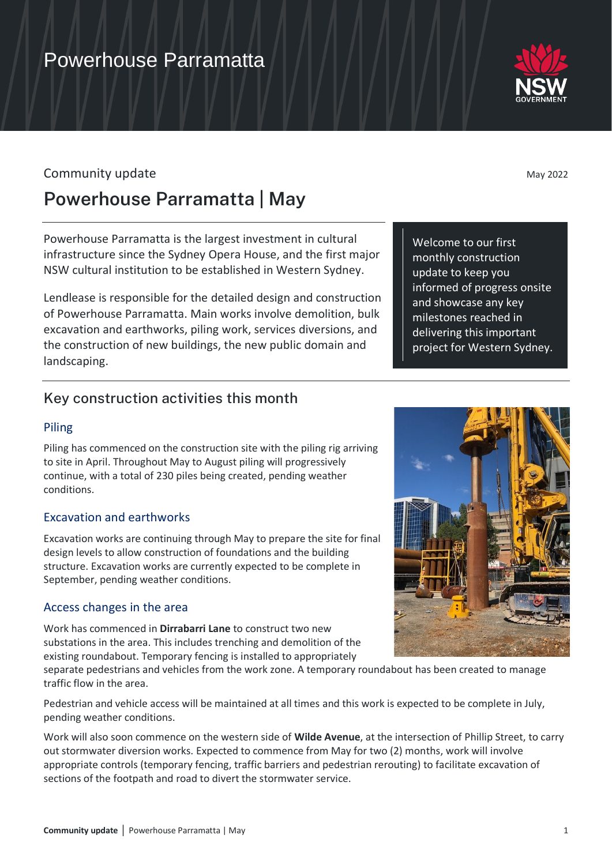## Community update May 2022

## **Powerhouse Parramatta | May**

Powerhouse Parramatta is the largest investment in cultural infrastructure since the Sydney Opera House, and the first major NSW cultural institution to be established in Western Sydney.

Lendlease is responsible for the detailed design and construction of Powerhouse Parramatta. Main works involve demolition, bulk excavation and earthworks, piling work, services diversions, and the construction of new buildings, the new public domain and landscaping.

## Key construction activities this month

### Piling

Piling has commenced on the construction site with the piling rig arriving to site in April. Throughout May to August piling will progressively continue, with a total of 230 piles being created, pending weather conditions.

### Excavation and earthworks

Excavation works are continuing through May to prepare the site for final design levels to allow construction of foundations and the building structure. Excavation works are currently expected to be complete in September, pending weather conditions.

## Access changes in the area

Work has commenced in **Dirrabarri Lane** to construct two new substations in the area. This includes trenching and demolition of the existing roundabout. Temporary fencing is installed to appropriately

separate pedestrians and vehicles from the work zone. A temporary roundabout has been created to manage traffic flow in the area.

Pedestrian and vehicle access will be maintained at all times and this work is expected to be complete in July, pending weather conditions.

Work will also soon commence on the western side of **Wilde Avenue**, at the intersection of Phillip Street, to carry out stormwater diversion works. Expected to commence from May for two (2) months, work will involve appropriate controls (temporary fencing, traffic barriers and pedestrian rerouting) to facilitate excavation of sections of the footpath and road to divert the stormwater service.



Welcome to our first monthly construction update to keep you

and showcase any key milestones reached in delivering this important project for Western Sydney.

informed of progress onsite

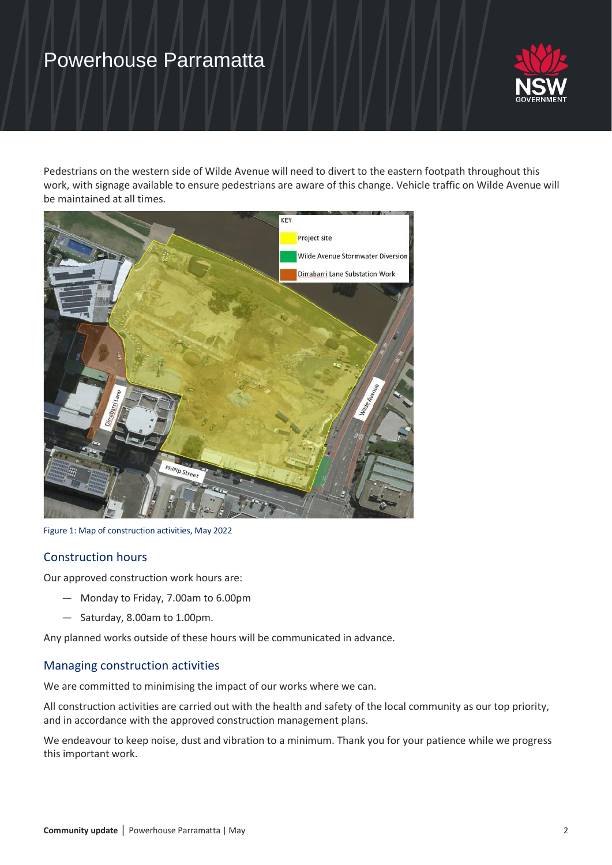## Powerhouse Parramatta



Pedestrians on the western side of Wilde Avenue will need to divert to the eastern footpath throughout this work, with signage available to ensure pedestrians are aware of this change. Vehicle traffic on Wilde Avenue will be maintained at all times.



Figure 1: Map of construction activities, May 2022

### Construction hours

Our approved construction work hours are:

- Monday to Friday, 7.00am to 6.00pm
- Saturday, 8.00am to 1.00pm.

Any planned works outside of these hours will be communicated in advance.

#### Managing construction activities

We are committed to minimising the impact of our works where we can.

All construction activities are carried out with the health and safety of the local community as our top priority, and in accordance with the approved construction management plans.

We endeavour to keep noise, dust and vibration to a minimum. Thank you for your patience while we progress this important work.